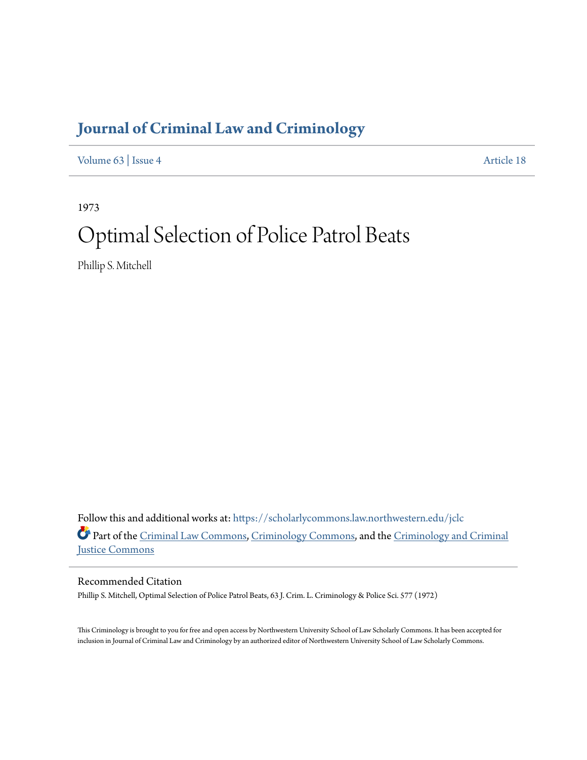# **[Journal of Criminal Law and Criminology](https://scholarlycommons.law.northwestern.edu/jclc?utm_source=scholarlycommons.law.northwestern.edu%2Fjclc%2Fvol63%2Fiss4%2F18&utm_medium=PDF&utm_campaign=PDFCoverPages)**

[Volume 63](https://scholarlycommons.law.northwestern.edu/jclc/vol63?utm_source=scholarlycommons.law.northwestern.edu%2Fjclc%2Fvol63%2Fiss4%2F18&utm_medium=PDF&utm_campaign=PDFCoverPages) | [Issue 4](https://scholarlycommons.law.northwestern.edu/jclc/vol63/iss4?utm_source=scholarlycommons.law.northwestern.edu%2Fjclc%2Fvol63%2Fiss4%2F18&utm_medium=PDF&utm_campaign=PDFCoverPages) [Article 18](https://scholarlycommons.law.northwestern.edu/jclc/vol63/iss4/18?utm_source=scholarlycommons.law.northwestern.edu%2Fjclc%2Fvol63%2Fiss4%2F18&utm_medium=PDF&utm_campaign=PDFCoverPages)

1973

# Optimal Selection of Police Patrol Beats

Phillip S. Mitchell

Follow this and additional works at: [https://scholarlycommons.law.northwestern.edu/jclc](https://scholarlycommons.law.northwestern.edu/jclc?utm_source=scholarlycommons.law.northwestern.edu%2Fjclc%2Fvol63%2Fiss4%2F18&utm_medium=PDF&utm_campaign=PDFCoverPages) Part of the [Criminal Law Commons](http://network.bepress.com/hgg/discipline/912?utm_source=scholarlycommons.law.northwestern.edu%2Fjclc%2Fvol63%2Fiss4%2F18&utm_medium=PDF&utm_campaign=PDFCoverPages), [Criminology Commons](http://network.bepress.com/hgg/discipline/417?utm_source=scholarlycommons.law.northwestern.edu%2Fjclc%2Fvol63%2Fiss4%2F18&utm_medium=PDF&utm_campaign=PDFCoverPages), and the [Criminology and Criminal](http://network.bepress.com/hgg/discipline/367?utm_source=scholarlycommons.law.northwestern.edu%2Fjclc%2Fvol63%2Fiss4%2F18&utm_medium=PDF&utm_campaign=PDFCoverPages) [Justice Commons](http://network.bepress.com/hgg/discipline/367?utm_source=scholarlycommons.law.northwestern.edu%2Fjclc%2Fvol63%2Fiss4%2F18&utm_medium=PDF&utm_campaign=PDFCoverPages)

Recommended Citation

Phillip S. Mitchell, Optimal Selection of Police Patrol Beats, 63 J. Crim. L. Criminology & Police Sci. 577 (1972)

This Criminology is brought to you for free and open access by Northwestern University School of Law Scholarly Commons. It has been accepted for inclusion in Journal of Criminal Law and Criminology by an authorized editor of Northwestern University School of Law Scholarly Commons.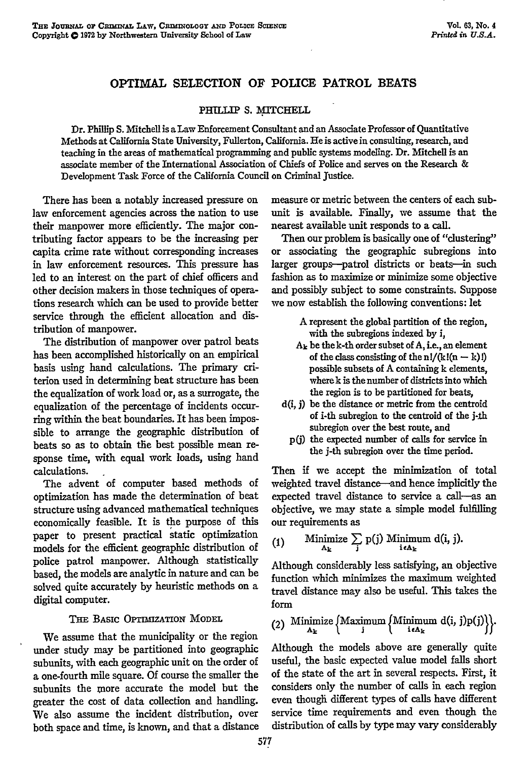# OPTIMAL SELECTION OF POLICE PATROL **BEATS**

# **PHULLIP S. MITCHELL**

Dr. Phillip **S.** Mitchell is a Law Enforcement Consultant and an Associate Professor of Quantitative Methods at California State University, Fullerton, California. He is active in consulting, research, and teaching in the areas of mathematical programming and public systems modeling. Dr. Mitchell is an associate member of the International Association of Chiefs of Police and serves on the Research **&** Development Task Force of the California Council on Criminal justice.

There has been a notably increased pressure on law enforcement agencies across the nation to use their manpower more efficiently. The major contributing factor appears to be the increasing per capita crime rate without corresponding increases in law enforcement resources. This pressure has led to an interest on the part of chief officers and other decision makers in those techniques of operations research which can be used to provide better service through the efficient allocation and distribution of manpower.

The distribution of manpower over patrol beats has been accomplished historically on an empirical basis using hand calculations. The primary criterion used in determining beat structure has been the equalization of work load or, as a surrogate, the equalization of the percentage of incidents occurring within the beat boundaries. It has been impossible to arrange the geographic distribution of beats so as to obtain the best possible mean response time, with equal work loads, using hand calculations.

The advent of computer based methods of optimization has made the determination of beat structure using advanced mathematical techniques economically feasible. It is the purpose of this paper to present practical static optimization models for the efficient geographic distribution of police patrol manpower. Although statistically based, the models are analytic in nature and can be solved quite accurately by heuristic methods on a digital computer.

# THE BASIC OPTIMIZATION MODEL

We assume that the municipality or the region under study may be partitioned into geographic subunits, with each geographic unit on the order of a one-fourth mile square. Of course the smaller the subunits the more accurate the model but the greater the cost of data collection and handling. We also assume the incident distribution, over both space and time, is known, and that a distance

measure or metric between the centers of each subunit is available. Finally, we assume that the nearest available unit responds to a call.

Then our problem is basically one of "clustering" or associating the geographic subregions into larger groups-patrol districts or beats-in such fashion as to maximize or minimize some objective and possibly subject to some constraints. Suppose we now establish the following conventions: let

- A represent the global partition of the region, with the subregions indexed by i,
- $A_k$  be the k-th order subset of  $A_i$ , i.e., an element of the class consisting of the  $n!/(k!(n-k)!)$ possible subsets of A containing k elements, where k is the number of districts into which the region is to be partitioned for beats,
- d(i, **j)** be the distance or metric from the centroid of i-th subregion to the centroid of the j-th subregion over the best route, and
	- p(j) the expected number of calls for service in the j-th subregion over the time period.

Then if we accept the minimization of total weighted travel distance-and hence implicitly the expected travel distance to service a call--as an objective, we may state a simple model fulfilling our requirements as

(1) Minimize 
$$
\sum_{\mathbf{i} \in \mathbf{A}_{\mathbf{k}}}
$$
 p(j) Minimum d(i, j).

Although considerably less satisfying, an objective function which minimizes the maximum weighted travel distance may also be useful. This takes the form

(2) Minimize 
$$
\{Maximum \{Minimum d(i, j)p(j)\}\}
$$
.

Although the models above are generally quite useful, the basic expected value model falls short of the state of the art in several respects. First, it considers only the number of calls in each region even though different types of calls have different service time requirements and even though the distribution of calls by type may vary considerably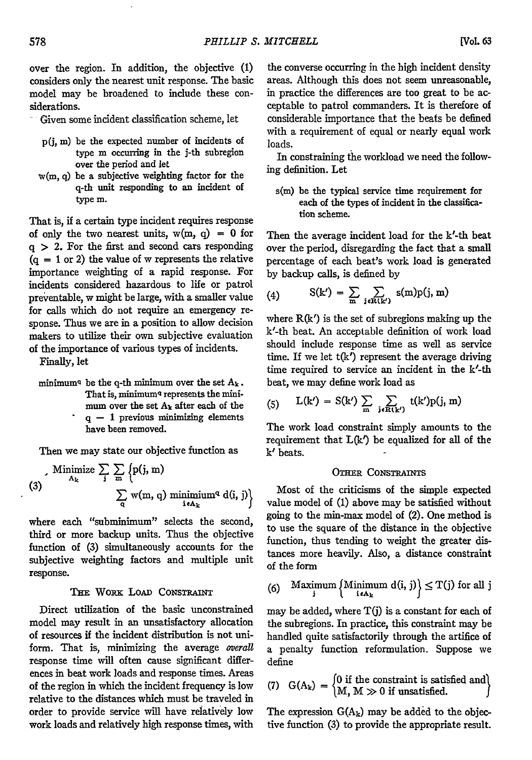over the region. In addition, the objective (1) considers only the nearest unit response. The basic model may be broadened to include these considerations.

- Given some incident classification scheme, let
	- p(j, **m)** be the expected number of incidents of type m occurring in the j-th subregion over the period and let
- w(m, q) be a subjective weighting factor for the q-th unit responding to an incident of type m.

That is, if a certain type incident requires response of only the two nearest units,  $w(m, q) = 0$  for  $q > 2$ . For the first and second cars responding  $(q = 1 \text{ or } 2)$  the value of w represents the relative importance weighting of a rapid response. For incidents considered hazardous to life or patrol preventable, w might be large, with a smaller value for calls which do not require an emergency response. Thus we are in a position to allow decision makers to utilize their own subjective evaluation of the importance of various types of incidents.

Finally, let

minimum<sup>q</sup> be the q-th minimum over the set  $A_k$ . That is, minimum<sup>q</sup> represents the minimum over the set **Ak** after each of the  $q - 1$  previous minimizing elements have been removed.

Then we may state our objective function as

$$
(3) \qquad \begin{array}{c} \text{Minimize } \sum_{\mathbf{j}} \sum_{\mathbf{m}} \left\{ p(\mathbf{j}, \mathbf{m}) \right. \\ \text{with } \sum_{\mathbf{q}} w(\mathbf{m}, \mathbf{q}) \text{ minimum}^q \, d(\mathbf{i}, \mathbf{j}) \right\} \end{array}
$$

where each "subminimum" selects the second, third or more backup units. Thus the objective function of **(3)** simultaneously accounts for the subjective weighting factors and multiple unit response.

### **THE WORK LOAD CONSTRAINT**

Direct utilization of the basic unconstrained model may result in an unsatisfactory allocation of resources **if** the incident distribution is not uniform. That is, minimizing the average overall response time will often cause significant differences in beat work loads and response times. Areas of the region in which the incident frequency is low relative to the distances which must be traveled in order to provide service will have relatively low work loads and relatively high response times, with

the converse occurring in the high incident density areas. Although this does not seem unreasonable, in practice the differences are too great to be acceptable to patrol commanders. It is therefore of considerable importance that the beats be defined with a requirement of equal or nearly equal work loads.

In constraining the workload we need the following definition. Let

s(m) be the typical service time requirement for each of the types of incident in the classification scheme.

Then the average incident load for the k'-th beat over the period, disregarding the fact that a small percentage of each beat's work load is generated by backup calls, is defined by

(4) 
$$
S(k') = \sum_{m} \sum_{j \in R(k')} s(m)p(j, m)
$$

where  $R(k')$  is the set of subregions making up the k'-th beat. An acceptable definition of work load should include response time as well as service time. If we let  $t(k')$  represent the average driving time required to service an incident in the k'-th beat, we may define work load as

(5) 
$$
L(k') = S(k') \sum_{m} \sum_{j \in R(k')} t(k')p(j, m)
$$

The work load constraint simply amounts to the requirement that  $L(k')$  be equalized for all of the **k'** beats.

#### **OTHER CONSTRAINTS**

Most of the criticisms of the simple expected value model of (1) above may be satisfied without going to the min-max model of (2). One method is to use the square of the distance in the objective function, thus tending to weight the greater distances more heavily. Also, a distance constraint of the form

(6) Maximum 
$$
\{ \text{Minimum } d(i, j) \} \leq T(j)
$$
 for all  $j$ 

may be added, where T(j) is a constant for each of the subregions. In practice, this constraint may be handled quite satisfactorily through the artifice of a penalty function reformulation. Suppose we define

(7) 
$$
G(A_k) = \begin{cases} 0 \text{ if the constraint is satisfied and} \\ M, M \gg 0 \text{ if unsatisfied.} \end{cases}
$$

The expression  $G(A_k)$  may be added to the objective function (3) to provide the appropriate result.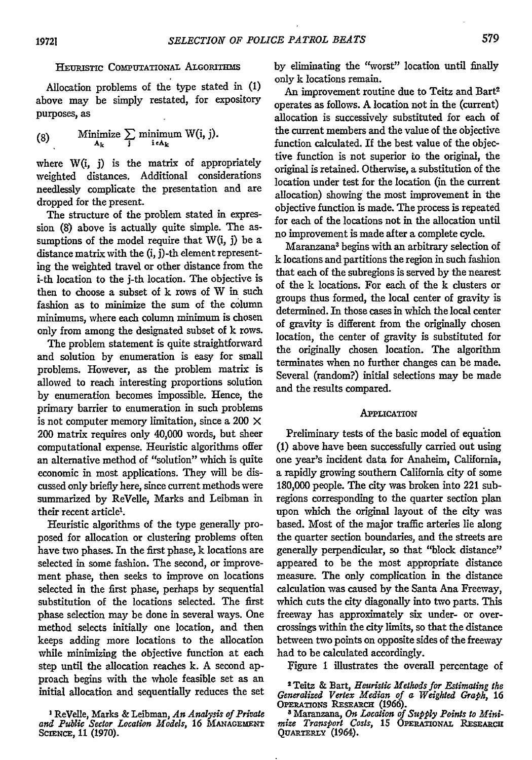# HEuRisTIc **COMPUTATIONAL ALGORITHMS**

Allocation problems of the type stated in **(1)** above may be simply restated, for expository purposes, as

(8) Minimize 
$$
\sum_{\mathbf{A_k}}
$$
 minimum W(i, j).

where W(i, **j)** is the matrix of appropriately weighted distances. Additional considerations needlessly complicate the presentation and are dropped for the present.

The structure of the problem stated in expression (8) above is actually quite simple. The assumptions of the model require that  $W(i, j)$  be a distance matrix with the (i, j)-th element representing the weighted travel or other distance from the i-th location to the j-th location. The objective is then to choose a subset of k rows of W in such fashion as to minimize the sum of the column minimums, where each column minimum is chosen only from among the designated subset of k rows.

The problem statement is quite straightforward and solution by enumeration is easy for small problems. However, as the problem matrix is allowed to reach interesting proportions solution **by** enumeration becomes impossible. Hence, the primary barrier to enumeration in such problems is not computer memory limitation, since a 200  $\times$ 200 matrix requires only 40,000 words, but sheer computational expense. Heuristic algorithms offer an alternative method of "solution" which is quite economic in most applications. They will be discussed only briefly here, since current methods were summarized **by** ReVelle, Marks and Leibman in their recent article<sup>1</sup>.

Heuristic algorithms of the type generally proposed for allocation or clustering problems often have two phases. In the first phase, k locations are selected in some fashion. The second, or improvement phase, then seeks to improve on locations selected in the first phase, perhaps **by** sequential substitution of the locations selected. The first phase selection may be done in several ways. One method selects initially one location, and then keeps adding more locations to the allocation while minimizing the objective function at each step until the allocation reaches k. A second approach begins with the whole feasible set as an initial allocation and sequentially reduces the set

**I** ReVelle, Marks **&** Leibman, *An Analysis of Private and Public Sector Location Models,* **16 MANAGEMENT** SCIENCE, 11 (1970).

**by** eliminating the "worst" location until finally only k locations remain.

An improvement routine due to Teitz and Bart2 operates as follows. **A** location not in the (current) allocation is successively substituted for each of the current members and the value of the objective function calculated. If the best value of the objective function is not superior to the original, the original is retained. Otherwise, a substitution of the location under test for the location (in the current allocation) showing the most improvement in the objective function is made. The process is repeated for each of the locations not in the allocation until no improvement is made after a complete cycle.

Maranzana3 begins with an arbitrary selection of **k** locations and partitions the region in such fashion that each of the subregions is served **by** the nearest of the k locations. For each of the **k** dusters or groups thus formed, the local center of gravity is determined. In those cases in which the local center of gravity is different from the originally chosen location, the center of gravity is substituted for the originally chosen location. The algorithm terminates when no further changes can be made. Several (random?) initial selections may be made and the results compared.

#### **APPLICATION**

Preliminary tests of the basic model of equation **(1)** above have been successfully carried out using one year's incident data for Anaheim, California, a rapidly growing southern California city of some **180,000** people. The city was broken into 221 subregions corresponding to the quarter section plan upon which the original layout of the city was based. Most of the major traffic arteries lie along the quarter section boundaries, and the streets are generally perpendicular, so that "block distance" appeared to be the most appropriate distance measure. The only complication in the distance calculation was caused by the Santa Ana Freeway, which cuts the city diagonally into two parts. This freeway has approximately six under- or overcrossings within the city limits, so that the distance between two points on opposite sides of the freeway had to be calculated accordingly.

Figure 1 illustrates the overall percentage of

2 Teitz & Bart, *Heuristic Methods for Estimating the Generalized Vertex Median of a Weighted Graph, 16* **OPERATioNs RESEARCH** (1966). **<sup>3</sup>**Maranzana, *On Location of Supply Points to Mini-*

*mize Transport Costs, 15* OPERATIONAL **RESEARCH QUARTERLY** (1964).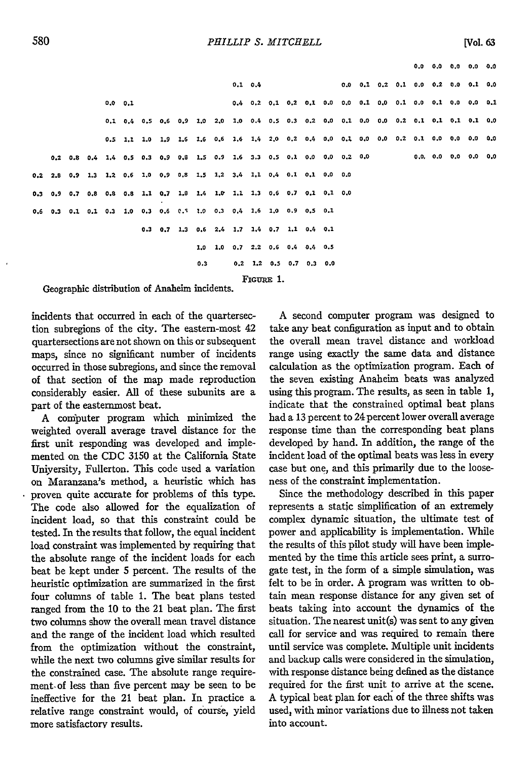**0.0 0.0 0.0 0.0 0.0**

|           |  |  |  |         |  |  |  |     |  |                                                                         | $0.1 \t0.4$ |  |  |  |  |  | $0.0$ $0.1$ $0.2$ $0.1$ $0.0$ $0.2$ $0.0$ $0.1$ $0.0$                                   |  |
|-----------|--|--|--|---------|--|--|--|-----|--|-------------------------------------------------------------------------|-------------|--|--|--|--|--|-----------------------------------------------------------------------------------------|--|
|           |  |  |  | 0.0 0.1 |  |  |  |     |  |                                                                         |             |  |  |  |  |  |                                                                                         |  |
|           |  |  |  |         |  |  |  |     |  |                                                                         |             |  |  |  |  |  | 0.1 0.4 0.5 0.6 0.9 1.0 2.0 1.0 0.4 0.5 0.3 0.2 0.0 0.1 0.0 0.0 0.2 0.1 0.1 0.1 0.1 0.0 |  |
|           |  |  |  |         |  |  |  |     |  |                                                                         |             |  |  |  |  |  | 0.5 1.1 1.0 1.9 1.6 1.6 0.6 1.6 1.4 2.0 0.2 0.4 0.0 0.1 0.0 0.0 0.2 0.1 0.0 0.0 0.0 0.0 |  |
|           |  |  |  |         |  |  |  |     |  |                                                                         |             |  |  |  |  |  |                                                                                         |  |
|           |  |  |  |         |  |  |  |     |  | 0.2 2.8 0.9 1.3 1.2 0.6 1.0 0.9 0.8 1.5 1.2 3.4 1.1 0.4 0.1 0.1 0.0 0.0 |             |  |  |  |  |  |                                                                                         |  |
|           |  |  |  |         |  |  |  |     |  | 0.3 0.9 0.7 0.8 0.8 0.8 1.1 0.7 1.8 1.4 1.0 1.1 1.3 0.6 0.7 0.1 0.1 0.0 |             |  |  |  |  |  |                                                                                         |  |
|           |  |  |  |         |  |  |  |     |  | 0.6 0.3 0.1 0.1 0.3 1.0 0.3 0.6 0.5 1.0 0.3 0.4 1.6 1.0 0.9 0.5 0.1     |             |  |  |  |  |  |                                                                                         |  |
|           |  |  |  |         |  |  |  |     |  | $0.3$ $0.7$ 1.3 $0.6$ 2.4 1.7 1.4 0.7 1.1 0.4 0.1                       |             |  |  |  |  |  |                                                                                         |  |
|           |  |  |  |         |  |  |  |     |  | 1,0 1.0 0.7 2.2 0.6 0.4 0.4 0.5                                         |             |  |  |  |  |  |                                                                                         |  |
|           |  |  |  |         |  |  |  | 0.3 |  | $0,2$ 1.2 0.5 0.7 0.3 0.0                                               |             |  |  |  |  |  |                                                                                         |  |
| FIGURE 1. |  |  |  |         |  |  |  |     |  |                                                                         |             |  |  |  |  |  |                                                                                         |  |

Geographic distribution of Anaheim incidents.

incidents that occurred in each of the quartersection subregions of the city. The eastern-most 42 quartersections are not shown on this or subsequent maps, since no significant number of incidents occurred in those subregions, and since the removal of that section of the map made reproduction considerably easier. All of these subunits are a part of the easternmost beat.

A computer program which minimized the weighted overall average travel distance for the first unit responding was developed and implemented on the CDC 3150 at the California State Uniyersity, Fullerton. This code used a variation on Maranzana's method, a heuristic which has proven quite accurate for problems of this type. The code also allowed for the equalization of incident load, so that this constraint could be tested. In the results that follow, the equal incident load constraint was implemented by requiring that the absolute range of the incident loads for each beat be kept under 5 percent. The results of the heuristic optimization are summarized in the first four columns of table 1. The beat plans tested ranged from the 10 to the 21 beat plan. The first two columns show the overall mean travel distance and the range of the incident load which resulted from the optimization without the constraint, while the next two columns give similar results for the constrained case. The absolute range requirement-of less than five percent may be seen to be ineffective for the 21 beat plan. In practice a relative range constraint would, of course, yield more satisfactory results.

A second computer program was designed to take any beat configuration as input and to obtain the overall mean travel distance and workload range using exactly the same data and distance calculation as the optimization program. Each of the seven existing Anaheim beats was analyzed using this program. The results, as seen in table 1, indicate that the constrained optimal beat plans had a 13 percent to 24 percent lower overall average response time than the corresponding beat plans developed by hand. In addition, the range of the incident load of the optimal beats was less in every case but one, and this primarily due to the looseness of the constraint implementation.

Since the methodology described in this paper represents a static simplification of an extremely complex dynamic situation, the ultimate test of power and applicability is implementation. While the results of this pilot study will have been implemented by the time this article sees print, a surrogate test, in the form of a simple simulation, was felt to be in order. A program was written to obtain mean response distance for any given set of beats taking into account the dynamics of the situation. The nearest unit(s) was sent to any given call for service and was required to remain there until service was complete. Multiple unit incidents and backup calls were considered in the simulation, with response distance being defined as the distance required for the first unit to arrive at the scene. A typical beat plan for each of the three shifts was used, with minor variations due to illness not taken into account.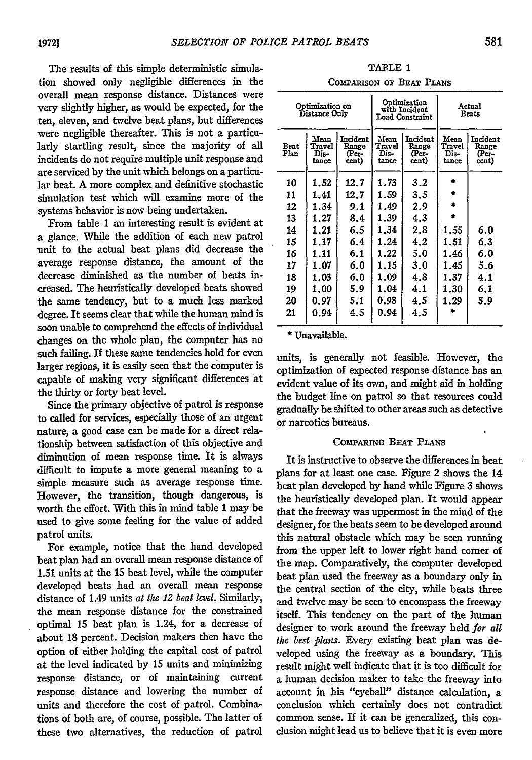The results of this simple deterministic simulation showed only negligible differences in the overall mean response distance. Distances were very slightly higher, as would be expected, for the ten, eleven, and twelve beat plans, but differences were negligible thereafter. This is not a particularly startling result, since the majority of all incidents do not require multiple unit response and are serviced by the unit which belongs on a particular beat. A more complex and definitive stochastic simulation test which will examine more of the systems behavior is now being undertaken.

From table 1 an interesting result is evident at a glance. While the addition of each new patrol unit to the actual beat plans did decrease the average response distance, the amount of the decrease diminished as the number of beats increased. The heuristically developed beats showed the same tendency, but to a much less marked degree. It seems clear that while the human mind is soon unable to comprehend the effects of individual changes on the whole plan, the computer has no such failing. **If** these same tendencies hold for even larger regions, it is easily seen that the computer is capable of making very significant differences at the thirty or forty beat level.

Since the primary objective of patrol is response to called for services, especially those of an urgent nature, a good case can be made for a direct relationship between satisfaction of this objective and diminution of mean response time. It is always difficult to impute a more general meaning to a simple measure such as average response time. However, the transition, though dangerous, is worth the effort. With this in mind table **1** may be used to give some feeling for the value of added patrol units.

For example, notice that the hand developed beat plan had an overall mean response distance of **1.51- units** at the **15** beat level, while the computer developed beats had an overall mean response distance of 1.49 units at *the 12 beat level.* Similarly, the mean response distance for the constrained optimal 15 beat plan is 1.24, for a decrease of about 18 percent. Decision makers then have the option of either holding the capital cost of patrol at the level indicated by 15 units and minimizing response distance, or of maintaining current response distance and lowering the number of units and therefore the cost of patrol. Combinations of both are, of course, possible. The latter of these two alternatives, the reduction of patrol

| TABLE 1                  |  |  |  |  |  |  |  |  |  |  |
|--------------------------|--|--|--|--|--|--|--|--|--|--|
| COMPARISON OF BEAT PLANS |  |  |  |  |  |  |  |  |  |  |

|              | Optimization on<br>Distance Only |                                     |                                 | Optimization<br>with Incident<br>Load Constraint | Actual<br><b>Beats</b>          |                                     |  |  |
|--------------|----------------------------------|-------------------------------------|---------------------------------|--------------------------------------------------|---------------------------------|-------------------------------------|--|--|
| Beat<br>Plan | Mean<br>Travel<br>Dis-<br>tance  | Incident<br>Range<br>(Per-<br>cent) | Mean<br>Travel<br>Dis-<br>tance | Incident<br>Range<br>(Per-<br>cent)              | Mean<br>Travel<br>Dis-<br>tance | Incident<br>Range<br>(Per-<br>cent) |  |  |
| 10           | 1.52                             | 12.7                                | 1.73                            | 3.2                                              | zk.                             |                                     |  |  |
| 11           | 1.41                             | 12.7                                | 1.59                            | 3.5                                              | ÷.                              |                                     |  |  |
| 12           | 1.34                             | 9.1                                 | 1.49                            | 2.9                                              | ż                               |                                     |  |  |
| 13           | 1.27                             | 8.4                                 | 1.39                            | 4.3                                              | ÷                               |                                     |  |  |
| 14           | 1.21                             | 6.5                                 | 1.34                            | 2.8                                              | 1.55                            | 6.0                                 |  |  |
| 15           | 1.17                             | 6.4                                 | 1.24                            | 4.2                                              | 1.51                            | 6.3                                 |  |  |
| 16           | 1.11                             | 6.1                                 | 1.22                            | 5.0                                              | 1.46                            | 6.0                                 |  |  |
| 17           | 1.07                             | 6.0                                 | 1.15                            | 3.0                                              | 1.45                            | 5.6                                 |  |  |
| 18           | 1.03                             | 6.0                                 | 1.09                            | 4.8                                              | 1.37                            | 4.1                                 |  |  |
| 19           | 1.00                             | 5.9                                 | 1.04                            | 4.1                                              | 1.30                            | 6.1                                 |  |  |
| 20           | 0.97                             | 5.1                                 | 0.98                            | 4.5                                              | 1.29                            | 5.9                                 |  |  |
| 21           | 0.94                             | 4.5                                 | 0.94                            | 4.5                                              |                                 |                                     |  |  |

**•** Unavailable.

units, is generally not feasible. However, the optimization of expected response distance has an evident value of its own, and might aid in holding the budget line on patrol so that resources could gradually be shifted to other areas such as detective or narcotics bureaus.

#### **CONTARING** BEAT PLANS

It is instructive to observe the differences in beat plans for at least one case. Figure 2 shows the 14 beat plan developed by hand while Figure 3 shows the heuristically developed plan. It would appear that the freeway was uppermost in the mind of the designer, for the beats seem to be developed around this natural obstacle which may be seen running from the upper left to lower right hand comer of the map. Comparatively, the computer developed beat plan used the freeway as a boundary only in the central section of the city, while beats three and twelve may be seen to encompass the freeway itself. This tendency on the part of the human designer to work around the freeway held *for all the best plans.* Every existing beat plan was developed using the freeway as a boundary. This result might well indicate that it is too difficult for a human decision maker to take the freeway into account in his "eyeball" distance calculation, a conclusion which certainly does not contradict common sense. If it can be generalized, this conclusion might lead us to believe that it is even more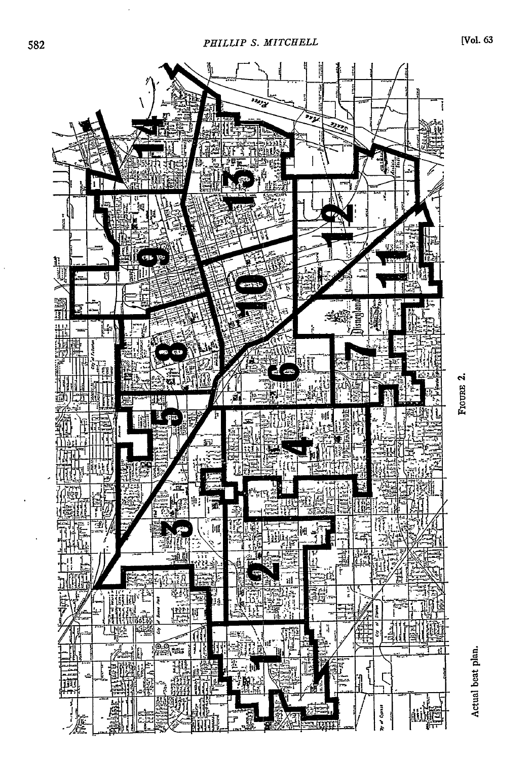

FIGURE 2.

Actual beat plan.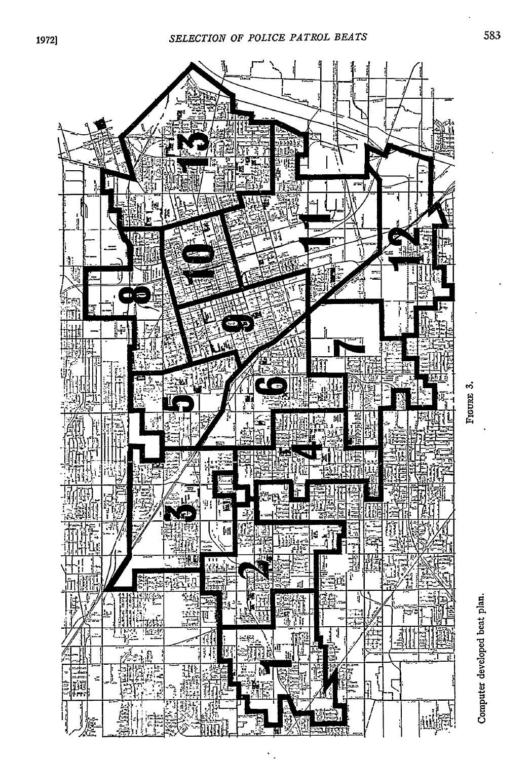

FIGURE 3.

Computer developed beat plan.